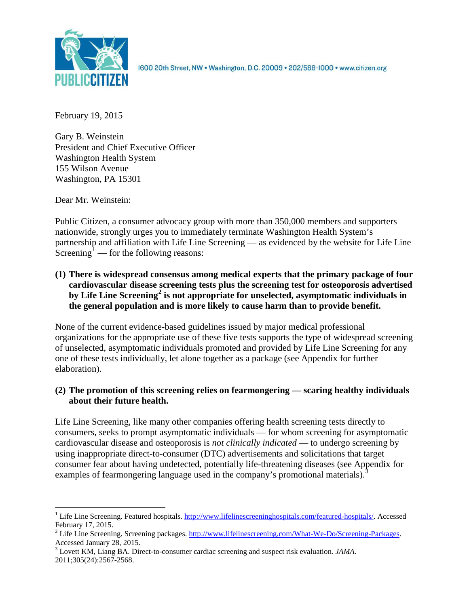

1600 20th Street, NW . Washington, D.C. 20009 . 202/588-1000 . www.citizen.org

February 19, 2015

Gary B. Weinstein President and Chief Executive Officer Washington Health System 155 Wilson Avenue Washington, PA 15301

Dear Mr. Weinstein:

Public Citizen, a consumer advocacy group with more than 350,000 members and supporters nationwide, strongly urges you to immediately terminate Washington Health System's partnership and affiliation with Life Line Screening — as evidenced by the website for Life Line Screening<sup>[1](#page-0-0)</sup> — for the following reasons:

**(1) There is widespread consensus among medical experts that the primary package of four cardiovascular disease screening tests plus the screening test for osteoporosis advertised by Life Line Screening[2](#page-0-1) is not appropriate for unselected, asymptomatic individuals in the general population and is more likely to cause harm than to provide benefit.**

None of the current evidence-based guidelines issued by major medical professional organizations for the appropriate use of these five tests supports the type of widespread screening of unselected, asymptomatic individuals promoted and provided by Life Line Screening for any one of these tests individually, let alone together as a package (see Appendix for further elaboration).

# **(2) The promotion of this screening relies on fearmongering — scaring healthy individuals about their future health.**

Life Line Screening, like many other companies offering health screening tests directly to consumers, seeks to prompt asymptomatic individuals — for whom screening for asymptomatic cardiovascular disease and osteoporosis is *not clinically indicated* — to undergo screening by using inappropriate direct-to-consumer (DTC) advertisements and solicitations that target consumer fear about having undetected, potentially life-threatening diseases (see Appendix for examples of fearmongering language used in the company's promotional materials).<sup>[3](#page-0-2)</sup>

<span id="page-0-0"></span><sup>&</sup>lt;sup>1</sup> Life Line Screening. Featured hospitals. [http://www.lifelinescreeninghospitals.com/featured-hospitals/.](http://www.lifelinescreeninghospitals.com/featured-hospitals/) Accessed

<span id="page-0-1"></span>February 17, 2015.<br><sup>2</sup> Life Line Screening. Screening packages. [http://www.lifelinescreening.com/What-We-Do/Screening-Packages.](http://www.lifelinescreening.com/What-We-Do/Screening-Packages)<br>Accessed January 28, 2015.

<span id="page-0-2"></span><sup>&</sup>lt;sup>3</sup> Lovett KM, Liang BA. Direct-to-consumer cardiac screening and suspect risk evaluation. *JAMA*. 2011;305(24):2567-2568.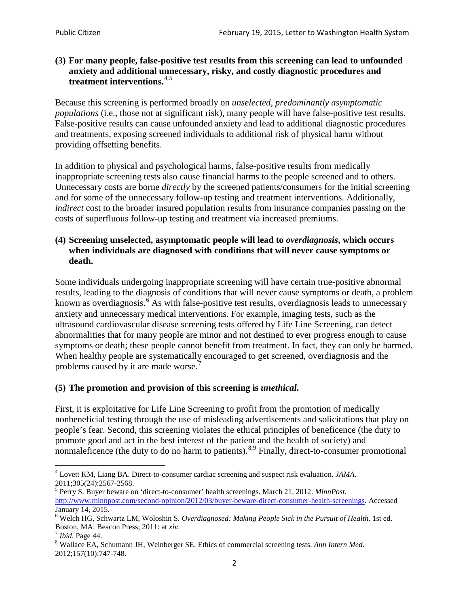# **(3) For many people, false-positive test results from this screening can lead to unfounded anxiety and additional unnecessary, risky, and costly diagnostic procedures and treatment interventions.**[4](#page-1-0),[5](#page-1-1)

Because this screening is performed broadly on *unselected, predominantly asymptomatic populations* (i.e., those not at significant risk), many people will have false**-**positive test results. False-positive results can cause unfounded anxiety and lead to additional diagnostic procedures and treatments, exposing screened individuals to additional risk of physical harm without providing offsetting benefits.

In addition to physical and psychological harms, false-positive results from medically inappropriate screening tests also cause financial harms to the people screened and to others. Unnecessary costs are borne *directly* by the screened patients/consumers for the initial screening and for some of the unnecessary follow-up testing and treatment interventions. Additionally, *indirect* cost to the broader insured population results from insurance companies passing on the costs of superfluous follow-up testing and treatment via increased premiums.

# **(4) Screening unselected, asymptomatic people will lead to** *overdiagnosis***, which occurs when individuals are diagnosed with conditions that will never cause symptoms or death.**

Some individuals undergoing inappropriate screening will have certain true-positive abnormal results, leading to the diagnosis of conditions that will never cause symptoms or death, a problem known as overdiagnosis.<sup>[6](#page-1-2)</sup> As with false-positive test results, overdiagnosis leads to unnecessary anxiety and unnecessary medical interventions. For example, imaging tests, such as the ultrasound cardiovascular disease screening tests offered by Life Line Screening, can detect abnormalities that for many people are minor and not destined to ever progress enough to cause symptoms or death; these people cannot benefit from treatment. In fact, they can only be harmed. When healthy people are systematically encouraged to get screened, overdiagnosis and the problems caused by it are made worse.<sup>[7](#page-1-3)</sup>

# **(5) The promotion and provision of this screening is** *unethical***.**

First, it is exploitative for Life Line Screening to profit from the promotion of medically nonbeneficial testing through the use of misleading advertisements and solicitations that play on people's fear. Second, this screening violates the ethical principles of beneficence (the duty to promote good and act in the best interest of the patient and the health of society) and nonmaleficence (the duty to do no harm to patients).<sup>[8](#page-1-4),[9](#page-1-5)</sup> Finally, direct-to-consumer promotional

<span id="page-1-4"></span>2012;157(10):747-748.

<span id="page-1-5"></span><span id="page-1-0"></span><sup>4</sup> Lovett KM, Liang BA. Direct-to-consumer cardiac screening and suspect risk evaluation. *JAMA*.

<span id="page-1-1"></span><sup>2011;305(24):2567-2568.</sup> <sup>5</sup> Perry S. Buyer beware on 'direct-to-consumer' health screenings. March 21, 2012. *MinnPost.*  [http://www.minnpost.com/second-opinion/2012/03/buyer-beware-direct-consumer-health-screenings.](http://www.minnpost.com/second-opinion/2012/03/buyer-beware-direct-consumer-health-screenings) Accessed January 14, 2015.

<span id="page-1-2"></span><sup>6</sup> Welch HG, Schwartz LM, Woloshin S. *Overdiagnosed: Making People Sick in the Pursuit of Health*. 1st ed. Boston, MA: Beacon Press; 2011: at *xiv*.<br><sup>7</sup> *Ibid*. Page 44.<br><sup>8</sup> Wallace EA, Schumann JH, Weinberger SE. Ethics of commercial screening tests. *Ann Intern Med*.

<span id="page-1-3"></span>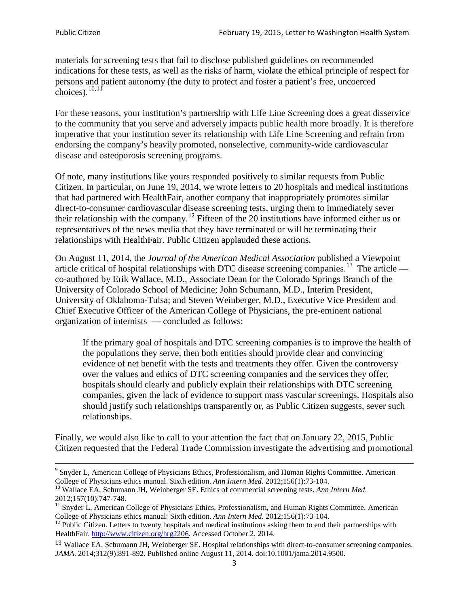materials for screening tests that fail to disclose published guidelines on recommended indications for these tests, as well as the risks of harm, violate the ethical principle of respect for persons and patient autonomy (the duty to protect and foster a patient's free, uncoerced choices). $\frac{10,11}{10,11}$  $\frac{10,11}{10,11}$  $\frac{10,11}{10,11}$  $\frac{10,11}{10,11}$ 

For these reasons, your institution's partnership with Life Line Screening does a great disservice to the community that you serve and adversely impacts public health more broadly. It is therefore imperative that your institution sever its relationship with Life Line Screening and refrain from endorsing the company's heavily promoted, nonselective, community**-**wide cardiovascular disease and osteoporosis screening programs.

Of note, many institutions like yours responded positively to similar requests from Public Citizen. In particular, on June 19, 2014, we wrote letters to 20 hospitals and medical institutions that had partnered with HealthFair, another company that inappropriately promotes similar direct-to-consumer cardiovascular disease screening tests, urging them to immediately sever their relationship with the company. [12](#page-2-2) Fifteen of the 20 institutions have informed either us or representatives of the news media that they have terminated or will be terminating their relationships with HealthFair. Public Citizen applauded these actions.

On August 11, 2014, the *Journal of the American Medical Association* published a Viewpoint article critical of hospital relationships with DTC disease screening companies.<sup>13</sup> The article co-authored by Erik Wallace, M.D., Associate Dean for the Colorado Springs Branch of the University of Colorado School of Medicine; John Schumann, M.D., Interim President, University of Oklahoma-Tulsa; and Steven Weinberger, M.D., Executive Vice President and Chief Executive Officer of the American College of Physicians, the pre**-**eminent national organization of internists — concluded as follows:

If the primary goal of hospitals and DTC screening companies is to improve the health of the populations they serve, then both entities should provide clear and convincing evidence of net benefit with the tests and treatments they offer. Given the controversy over the values and ethics of DTC screening companies and the services they offer, hospitals should clearly and publicly explain their relationships with DTC screening companies, given the lack of evidence to support mass vascular screenings. Hospitals also should justify such relationships transparently or, as Public Citizen suggests, sever such relationships.

Finally, we would also like to call to your attention the fact that on January 22, 2015, Public Citizen requested that the Federal Trade Commission investigate the advertising and promotional

<sup>&</sup>lt;sup>9</sup> Snyder L, American College of Physicians Ethics, Professionalism, and Human Rights Committee. American College of Physicians ethics manual. Sixth edition. Ann Intern Med. 2012;156(1):73-104.

<span id="page-2-0"></span><sup>&</sup>lt;sup>10</sup> Wallace EA, Schumann JH, Weinberger SE. Ethics of commercial screening tests. *Ann Intern Med*. 2012;157(10):747-748.

<span id="page-2-1"></span> $11$  Snyder L, American College of Physicians Ethics, Professionalism, and Human Rights Committee. American College of Physicians ethics manual: Sixth edition. *Ann Intern Med*. 2012;156(1):73-104.<br><sup>12</sup> Public Citizen. Letters to twenty hospitals and medical institutions asking them to end their partnerships with

<span id="page-2-2"></span>HealthFair. [http://www.citizen.org/hrg2206.](http://www.citizen.org/hrg2206) Accessed October 2, 2014.

<span id="page-2-3"></span><sup>13</sup> Wallace EA, Schumann JH, Weinberger SE. Hospital relationships with direct-to-consumer screening companies. *JAMA*. 2014;312(9):891-892. Published online August 11, 2014. doi:10.1001/jama.2014.9500.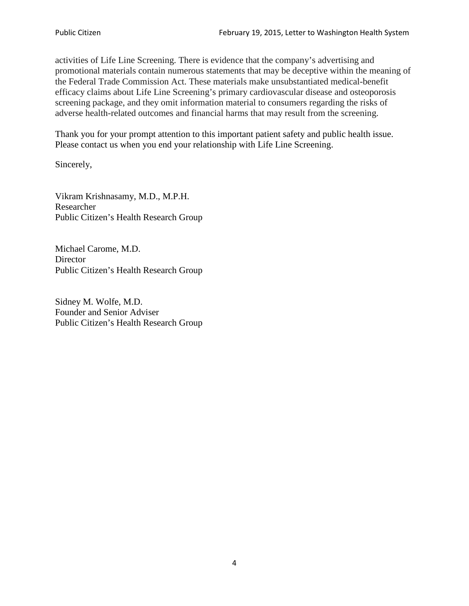activities of Life Line Screening. There is evidence that the company's advertising and promotional materials contain numerous statements that may be deceptive within the meaning of the Federal Trade Commission Act. These materials make unsubstantiated medical-benefit efficacy claims about Life Line Screening's primary cardiovascular disease and osteoporosis screening package, and they omit information material to consumers regarding the risks of adverse health-related outcomes and financial harms that may result from the screening.

Thank you for your prompt attention to this important patient safety and public health issue. Please contact us when you end your relationship with Life Line Screening.

Sincerely,

Vikram Krishnasamy, M.D., M.P.H. Researcher Public Citizen's Health Research Group

Michael Carome, M.D. **Director** Public Citizen's Health Research Group

Sidney M. Wolfe, M.D. Founder and Senior Adviser Public Citizen's Health Research Group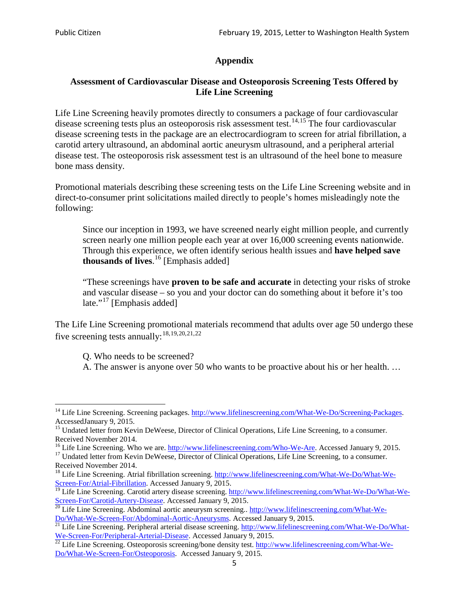# **Appendix**

# **Assessment of Cardiovascular Disease and Osteoporosis Screening Tests Offered by Life Line Screening**

Life Line Screening heavily promotes directly to consumers a package of four cardiovascular disease screening tests plus an osteoporosis risk assessment test.<sup>[14](#page-4-0),[15](#page-4-1)</sup> The four cardiovascular disease screening tests in the package are an electrocardiogram to screen for atrial fibrillation, a carotid artery ultrasound, an abdominal aortic aneurysm ultrasound, and a peripheral arterial disease test. The osteoporosis risk assessment test is an ultrasound of the heel bone to measure bone mass density.

Promotional materials describing these screening tests on the Life Line Screening website and in direct-to-consumer print solicitations mailed directly to people's homes misleadingly note the following:

Since our inception in 1993, we have screened nearly eight million people, and currently screen nearly one million people each year at over 16,000 screening events nationwide. Through this experience, we often identify serious health issues and **have helped save thousands of lives**. [16](#page-4-2) [Emphasis added]

"These screenings have **proven to be safe and accurate** in detecting your risks of stroke and vascular disease – so you and your doctor can do something about it before it's too late."<sup>[17](#page-4-3)</sup> [Emphasis added]

The Life Line Screening promotional materials recommend that adults over age 50 undergo these five screening tests annually:<sup>[18](#page-4-4),[19,](#page-4-5)[20,](#page-4-6)[21](#page-4-7),[22](#page-4-8)</sup>

Q. Who needs to be screened?

A. The answer is anyone over 50 who wants to be proactive about his or her health. …

<span id="page-4-0"></span><sup>&</sup>lt;sup>14</sup> Life Line Screening. Screening packages. [http://www.lifelinescreening.com/What-We-Do/Screening-Packages.](http://www.lifelinescreening.com/What-We-Do/Screening-Packages) AccessedJanuary 9, 2015.

<span id="page-4-1"></span><sup>&</sup>lt;sup>15</sup> Undated letter from Kevin DeWeese, Director of Clinical Operations, Life Line Screening, to a consumer.

Received November 2014.<br><sup>16</sup> Life Line Screening. Who we are. http://www.lifelinescreening.com/Who-We-Are. Accessed January 9, 2015.

<span id="page-4-3"></span><span id="page-4-2"></span><sup>&</sup>lt;sup>17</sup> Undated letter from Kevin DeWeese, Director of Clinical Operations, Life Line Screening, to a consumer. Received November 2014.

<span id="page-4-4"></span><sup>&</sup>lt;sup>18</sup> Life Line Screening. Atrial fibrillation screening. [http://www.lifelinescreening.com/What-We-Do/What-We-](http://www.lifelinescreening.com/What-We-Do/What-We-Screen-For/Atrial-Fibrillation)[Screen-For/Atrial-Fibrillation.](http://www.lifelinescreening.com/What-We-Do/What-We-Screen-For/Atrial-Fibrillation) Accessed January 9, 2015.

<sup>&</sup>lt;sup>19</sup> Life Line Screening. Carotid artery disease screening. [http://www.lifelinescreening.com/What-We-Do/What-We-](http://www.lifelinescreening.com/What-We-Do/What-We-Screen-For/Carotid-Artery-Disease)

<span id="page-4-6"></span><span id="page-4-5"></span>[Screen-For/Carotid-Artery-Disease.](http://www.lifelinescreening.com/What-We-Do/What-We-Screen-For/Carotid-Artery-Disease) Accessed January 9, 2015.<br><sup>20</sup> Life Line Screening. Abdominal aortic aneurysm screening.. http://www.lifelinescreening.com/What-We-Do/What-We-Do/What-We-Screen-For/Abdominal-Aortic-Aneury

<span id="page-4-7"></span><sup>&</sup>lt;sup>21</sup> Life Line Screening. Peripheral arterial disease screening. [http://www.lifelinescreening.com/What-We-Do/What-](http://www.lifelinescreening.com/What-We-Do/What-We-Screen-For/Peripheral-Arterial-Disease)

<span id="page-4-8"></span>[We-Screen-For/Peripheral-Arterial-Disease.](http://www.lifelinescreening.com/What-We-Do/What-We-Screen-For/Peripheral-Arterial-Disease) Accessed January 9, 2015.<br><sup>22</sup> Life Line Screening. Osteoporosis screening/bone density test. [http://www.lifelinescreening.com/What-We-](http://www.lifelinescreening.com/What-We-Do/What-We-Screen-For/Osteoporosis)[Do/What-We-Screen-For/Osteoporosis.](http://www.lifelinescreening.com/What-We-Do/What-We-Screen-For/Osteoporosis) Accessed January 9, 2015.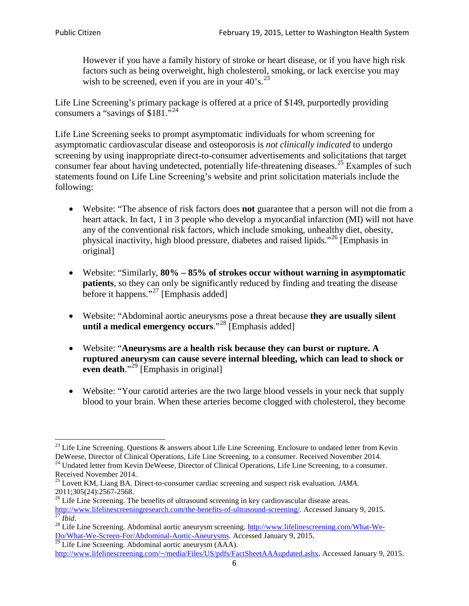However if you have a family history of stroke or heart disease, or if you have high risk factors such as being overweight, high cholesterol, smoking, or lack exercise you may wish to be screened, even if you are in your  $40^{\circ}$ s.<sup>[23](#page-5-0)</sup>

Life Line Screening's primary package is offered at a price of \$149, purportedly providing consumers a "savings of \$181."<sup>[24](#page-5-1)</sup>

Life Line Screening seeks to prompt asymptomatic individuals for whom screening for asymptomatic cardiovascular disease and osteoporosis is *not clinically indicated* to undergo screening by using inappropriate direct-to-consumer advertisements and solicitations that target consumer fear about having undetected, potentially life-threatening diseases.<sup>[25](#page-5-2)</sup> Examples of such statements found on Life Line Screening's website and print solicitation materials include the following:

- Website: "The absence of risk factors does **not** guarantee that a person will not die from a heart attack. In fact, 1 in 3 people who develop a myocardial infarction (MI) will not have any of the conventional risk factors, which include smoking, unhealthy diet, obesity, physical inactivity, high blood pressure, diabetes and raised lipids."[26](#page-5-3) [Emphasis in original]
- Website: "Similarly, **80% – 85% of strokes occur without warning in asymptomatic patients**, so they can only be significantly reduced by finding and treating the disease before it happens."<sup>[27](#page-5-4)</sup> [Emphasis added]
- Website: "Abdominal aortic aneurysms pose a threat because **they are usually silent until a medical emergency occurs**."[28](#page-5-5) [Emphasis added]
- Website: "**Aneurysms are a health risk because they can burst or rupture. A ruptured aneurysm can cause severe internal bleeding, which can lead to shock or even death.**"<sup>[29](#page-5-6)</sup> [Emphasis in original]
- Website: "Your carotid arteries are the two large blood vessels in your neck that supply blood to your brain. When these arteries become clogged with cholesterol, they become

<span id="page-5-0"></span><sup>&</sup>lt;sup>23</sup> Life Line Screening. Questions  $\&$  answers about Life Line Screening. Enclosure to undated letter from Kevin DeWeese, Director of Clinical Operations, Life Line Screening, to a consumer. Received November 2014.

<span id="page-5-1"></span><sup>&</sup>lt;sup>24</sup> Undated letter from Kevin DeWeese, Director of Clinical Operations, Life Line Screening, to a consumer. Received November 2014.

<span id="page-5-2"></span><sup>25</sup> Lovett KM, Liang BA. Direct-to-consumer cardiac screening and suspect risk evaluation. *JAMA*.  $2011;305(24):2567-2568$ .<br><sup>26</sup> Life Line Screening. The benefits of ultrasound screening in key cardiovascular disease areas.

<span id="page-5-3"></span>[http://www.lifelinescreeningresearch.com/the-benefits-of-ultrasound-screening/.](http://www.lifelinescreeningresearch.com/the-benefits-of-ultrasound-screening/) Accessed January 9, 2015.<br><sup>28</sup> Life Line Screening. Abdominal aortic aneurysm screening. http://www.lifelinescreening.com/What-We-<br><sup>28</sup> Life L

<span id="page-5-5"></span><span id="page-5-4"></span>[Do/What-We-Screen-For/Abdominal-Aortic-Aneurysms.](http://www.lifelinescreening.com/What-We-Do/What-We-Screen-For/Abdominal-Aortic-Aneurysms) Accessed January 9, 2015. <sup>29</sup> Life Line Screening. Abdominal aortic aneurysm (AAA).

<span id="page-5-6"></span>[http://www.lifelinescreening.com/~/media/Files/US/pdfs/FactSheetAAAupdated.ashx.](http://www.lifelinescreening.com/~/media/Files/US/pdfs/FactSheetAAAupdated.ashx) Accessed January 9, 2015.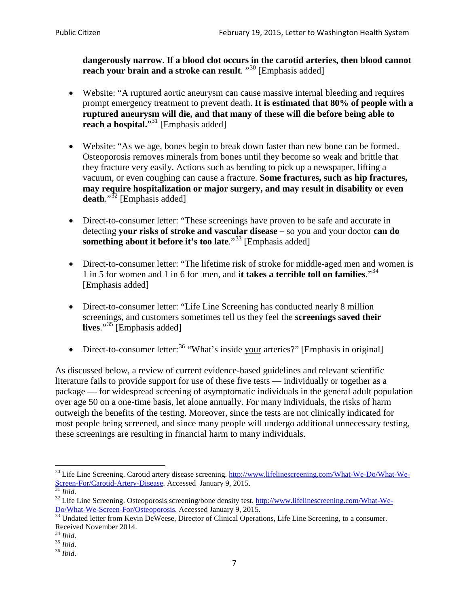**dangerously narrow**. **If a blood clot occurs in the carotid arteries, then blood cannot reach your brain and a stroke can result**. "<sup>[30](#page-6-0)</sup> [Emphasis added]

- Website: "A ruptured aortic aneurysm can cause massive internal bleeding and requires prompt emergency treatment to prevent death. **It is estimated that 80% of people with a ruptured aneurysm will die, and that many of these will die before being able to reach a hospital.**"<sup>[31](#page-6-1)</sup> [Emphasis added]
- Website: "As we age, bones begin to break down faster than new bone can be formed. Osteoporosis removes minerals from bones until they become so weak and brittle that they fracture very easily. Actions such as bending to pick up a newspaper, lifting a vacuum, or even coughing can cause a fracture. **Some fractures, such as hip fractures, may require hospitalization or major surgery, and may result in disability or even**  death."<sup>[32](#page-6-2)</sup> [Emphasis added]
- Direct-to-consumer letter: "These screenings have proven to be safe and accurate in detecting **your risks of stroke and vascular disease** – so you and your doctor **can do something about it before it's too late**."<sup>[33](#page-6-3)</sup> [Emphasis added]
- Direct-to-consumer letter: "The lifetime risk of stroke for middle-aged men and women is 1 in 5 for women and 1 in 6 for men, and **it takes a terrible toll on families**."[34](#page-6-4) [Emphasis added]
- Direct-to-consumer letter: "Life Line Screening has conducted nearly 8 million screenings, and customers sometimes tell us they feel the **screenings saved their lives**."[35](#page-6-5) [Emphasis added]
- Direct-to-consumer letter:  $36$  "What's inside your arteries?" [Emphasis in original]

As discussed below, a review of current evidence-based guidelines and relevant scientific literature fails to provide support for use of these five tests — individually or together as a package — for widespread screening of asymptomatic individuals in the general adult population over age 50 on a one-time basis, let alone annually. For many individuals, the risks of harm outweigh the benefits of the testing. Moreover, since the tests are not clinically indicated for most people being screened, and since many people will undergo additional unnecessary testing, these screenings are resulting in financial harm to many individuals.

<span id="page-6-0"></span><sup>&</sup>lt;sup>30</sup> Life Line Screening. Carotid artery disease screening. [http://www.lifelinescreening.com/What-We-Do/What-We-](http://www.lifelinescreening.com/What-We-Do/What-We-Screen-For/Carotid-Artery-Disease)[Screen-For/Carotid-Artery-Disease.](http://www.lifelinescreening.com/What-We-Do/What-We-Screen-For/Carotid-Artery-Disease) Accessed January 9, 2015.<br><sup>31</sup> *Ibid.* 32 Life Line Screening. Osteoporosis screening/bone density test. [http://www.lifelinescreening.com/What-We-](http://www.lifelinescreening.com/What-We-Do/What-We-Screen-For/Osteoporosis)

<span id="page-6-2"></span><span id="page-6-1"></span>[Do/What-We-Screen-For/Osteoporosis.](http://www.lifelinescreening.com/What-We-Do/What-We-Screen-For/Osteoporosis) Accessed January 9, 2015. <sup>33</sup> Undated letter from Kevin DeWeese, Director of Clinical Operations, Life Line Screening, to a consumer.

<span id="page-6-3"></span>Received November 2014.<br><sup>34</sup> Ibid.

<span id="page-6-4"></span>

<span id="page-6-5"></span><sup>34</sup> *Ibid*. 35 *Ibid*. 36 *Ibid*.

<span id="page-6-6"></span>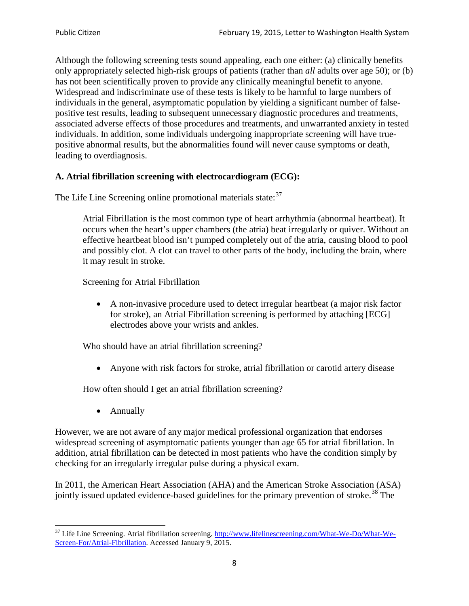Although the following screening tests sound appealing, each one either: (a) clinically benefits only appropriately selected high-risk groups of patients (rather than *all* adults over age 50); or (b) has not been scientifically proven to provide any clinically meaningful benefit to anyone. Widespread and indiscriminate use of these tests is likely to be harmful to large numbers of individuals in the general, asymptomatic population by yielding a significant number of falsepositive test results, leading to subsequent unnecessary diagnostic procedures and treatments, associated adverse effects of those procedures and treatments, and unwarranted anxiety in tested individuals. In addition, some individuals undergoing inappropriate screening will have truepositive abnormal results, but the abnormalities found will never cause symptoms or death, leading to overdiagnosis.

# **A. Atrial fibrillation screening with electrocardiogram (ECG):**

The Life Line Screening online promotional materials state:<sup>[37](#page-7-0)</sup>

Atrial Fibrillation is the most common type of heart arrhythmia (abnormal heartbeat). It occurs when the heart's upper chambers (the atria) beat irregularly or quiver. Without an effective heartbeat blood isn't pumped completely out of the atria, causing blood to pool and possibly clot. A clot can travel to other parts of the body, including the brain, where it may result in stroke.

Screening for Atrial Fibrillation

• A non-invasive procedure used to detect irregular heartbeat (a major risk factor for stroke), an Atrial Fibrillation screening is performed by attaching [ECG] electrodes above your wrists and ankles.

Who should have an atrial fibrillation screening?

• Anyone with risk factors for stroke, atrial fibrillation or carotid artery disease

How often should I get an atrial fibrillation screening?

• Annually

<span id="page-7-1"></span>However, we are not aware of any major medical professional organization that endorses widespread screening of asymptomatic patients younger than age 65 for atrial fibrillation. In addition, atrial fibrillation can be detected in most patients who have the condition simply by checking for an irregularly irregular pulse during a physical exam.

In 2011, the American Heart Association (AHA) and the American Stroke Association (ASA) jointly issued updated evidence-based guidelines for the primary prevention of stroke.<sup>[38](#page-7-1)</sup> The

<span id="page-7-0"></span><sup>&</sup>lt;sup>37</sup> Life Line Screening. Atrial fibrillation screening. [http://www.lifelinescreening.com/What-We-Do/What-We-](http://www.lifelinescreening.com/What-We-Do/What-We-Screen-For/Atrial-Fibrillation)[Screen-For/Atrial-Fibrillation.](http://www.lifelinescreening.com/What-We-Do/What-We-Screen-For/Atrial-Fibrillation) Accessed January 9, 2015.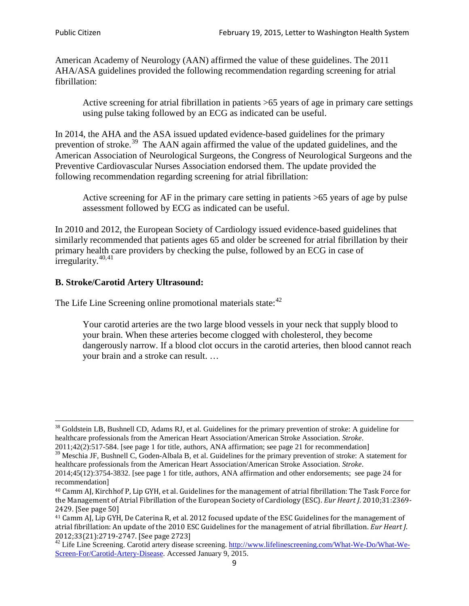American Academy of Neurology (AAN) affirmed the value of these guidelines. The 2011 AHA/ASA guidelines provided the following recommendation regarding screening for atrial fibrillation:

Active screening for atrial fibrillation in patients >65 years of age in primary care settings using pulse taking followed by an ECG as indicated can be useful.

In 2014, the AHA and the ASA issued updated evidence-based guidelines for the primary prevention of stroke.<sup>[39](#page-8-0)</sup> The AAN again affirmed the value of the updated guidelines, and the American Association of Neurological Surgeons, the Congress of Neurological Surgeons and the Preventive Cardiovascular Nurses Association endorsed them. The update provided the following recommendation regarding screening for atrial fibrillation:

Active screening for AF in the primary care setting in patients >65 years of age by pulse assessment followed by ECG as indicated can be useful.

In 2010 and 2012, the European Society of Cardiology issued evidence-based guidelines that similarly recommended that patients ages 65 and older be screened for atrial fibrillation by their primary health care providers by checking the pulse, followed by an ECG in case of irregularity. $40,41$  $40,41$ 

# **B. Stroke/Carotid Artery Ultrasound:**

The Life Line Screening online promotional materials state:<sup>[42](#page-8-3)</sup>

Your carotid arteries are the two large blood vessels in your neck that supply blood to your brain. When these arteries become clogged with cholesterol, they become dangerously narrow. If a blood clot occurs in the carotid arteries, then blood cannot reach your brain and a stroke can result. …

<sup>&</sup>lt;sup>38</sup> Goldstein LB, Bushnell CD, Adams RJ, et al. Guidelines for the primary prevention of stroke: A guideline for healthcare professionals from the American Heart Association/American Stroke Association. *Stroke*.

<sup>2011;42(2):517-584.</sup> [see page 1 for title, authors, ANA affirmation; see page 21 for recommendation]

<span id="page-8-0"></span> $\frac{2011,42(2)(317,601)}{39}$  Meschia JF, Bushnell C, Goden-Albala B, et al. Guidelines for the primary prevention of stroke: A statement for healthcare professionals from the American Heart Association/American Stroke Association. *Stroke*.

<sup>2014;45(12):3754-3832.</sup> [see page 1 for title, authors, ANA affirmation and other endorsements; see page 24 for recommendation]

<span id="page-8-1"></span><sup>40</sup> Camm AJ, Kirchhof P, Lip GYH, et al. Guidelines for the management of atrial fibrillation: The Task Force for the Management of Atrial Fibrillation of the European Society of Cardiology (ESC). *Eur Heart J*. 2010;31:2369- 2429. [See page 50]

<span id="page-8-2"></span><sup>41</sup> Camm AJ, Lip GYH, De Caterina R, et al. 2012 focused update of the ESC Guidelines for the management of atrial fibrillation: An update of the 2010 ESC Guidelines for the management of atrial fibrillation. *Eur Heart J*.

<span id="page-8-3"></span><sup>&</sup>lt;sup>2012</sup>;23(21):2719-2747. [See page 273] 42 Life Line Screening. [http://www.lifelinescreening.com/What-We-Do/What-We-](http://www.lifelinescreening.com/What-We-Do/What-We-Screen-For/Carotid-Artery-Disease)[Screen-For/Carotid-Artery-Disease.](http://www.lifelinescreening.com/What-We-Do/What-We-Screen-For/Carotid-Artery-Disease) Accessed January 9, 2015.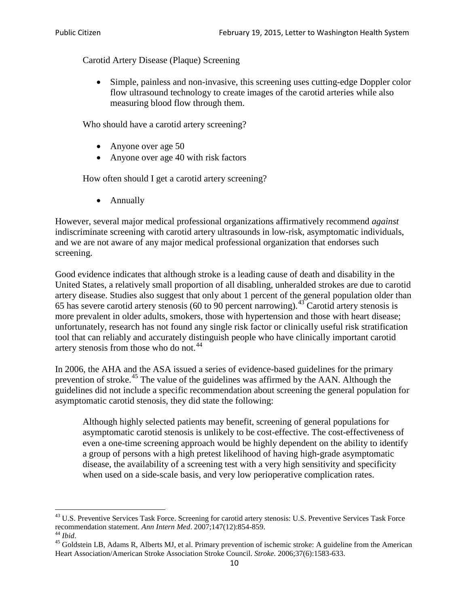Carotid Artery Disease (Plaque) Screening

• Simple, painless and non-invasive, this screening uses cutting-edge Doppler color flow ultrasound technology to create images of the carotid arteries while also measuring blood flow through them.

Who should have a carotid artery screening?

- Anyone over age 50
- Anyone over age 40 with risk factors

How often should I get a carotid artery screening?

• Annually

However, several major medical professional organizations affirmatively recommend *against* indiscriminate screening with carotid artery ultrasounds in low-risk, asymptomatic individuals, and we are not aware of any major medical professional organization that endorses such screening.

Good evidence indicates that although stroke is a leading cause of death and disability in the United States, a relatively small proportion of all disabling, unheralded strokes are due to carotid artery disease. Studies also suggest that only about 1 percent of the general population older than 65 has severe carotid artery stenosis (60 to 90 percent narrowing).<sup>[43](#page-9-0)</sup> Carotid artery stenosis is more prevalent in older adults, smokers, those with hypertension and those with heart disease; unfortunately, research has not found any single risk factor or clinically useful risk stratification tool that can reliably and accurately distinguish people who have clinically important carotid artery stenosis from those who do not.<sup>[44](#page-9-1)</sup>

In 2006, the AHA and the ASA issued a series of evidence-based guidelines for the primary prevention of stroke.<sup>[45](#page-9-2)</sup> The value of the guidelines was affirmed by the AAN. Although the guidelines did not include a specific recommendation about screening the general population for asymptomatic carotid stenosis, they did state the following:

Although highly selected patients may benefit, screening of general populations for asymptomatic carotid stenosis is unlikely to be cost-effective. The cost-effectiveness of even a one-time screening approach would be highly dependent on the ability to identify a group of persons with a high pretest likelihood of having high-grade asymptomatic disease, the availability of a screening test with a very high sensitivity and specificity when used on a side-scale basis, and very low perioperative complication rates.

<span id="page-9-0"></span> $^{43}$  U.S. Preventive Services Task Force. Screening for carotid artery stenosis: U.S. Preventive Services Task Force recommendation statement. Ann Intern Med. 2007;147(12):854-859.

<span id="page-9-2"></span><span id="page-9-1"></span><sup>&</sup>lt;sup>44</sup> *Ibid*. <sup>45</sup> Goldstein LB, Adams R, Alberts MJ, et al. Primary prevention of ischemic stroke: A guideline from the American <sup>45</sup> Goldstein LB, Adams R, Alberts MJ, et al. Primary prevention of ischemic stroke: A guide Heart Association/American Stroke Association Stroke Council. *Stroke*. 2006;37(6):1583-633.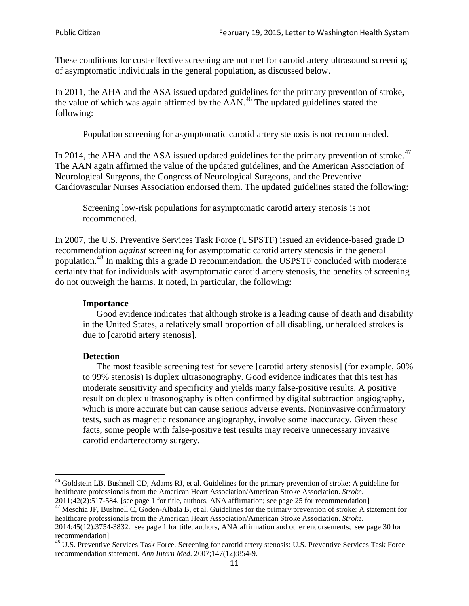These conditions for cost-effective screening are not met for carotid artery ultrasound screening of asymptomatic individuals in the general population, as discussed below.

In 2011, the AHA and the ASA issued updated guidelines for the primary prevention of stroke, the value of which was again affirmed by the  $AAN<sup>46</sup>$  $AAN<sup>46</sup>$  $AAN<sup>46</sup>$ . The updated guidelines stated the following:

Population screening for asymptomatic carotid artery stenosis is not recommended.

In 2014, the AHA and the ASA issued updated guidelines for the primary prevention of stroke.<sup>47</sup> The AAN again affirmed the value of the updated guidelines, and the American Association of Neurological Surgeons, the Congress of Neurological Surgeons, and the Preventive Cardiovascular Nurses Association endorsed them. The updated guidelines stated the following:

Screening low-risk populations for asymptomatic carotid artery stenosis is not recommended.

In 2007, the U.S. Preventive Services Task Force (USPSTF) issued an evidence-based grade D recommendation *against* screening for asymptomatic carotid artery stenosis in the general population.[48](#page-10-2) In making this a grade D recommendation, the USPSTF concluded with moderate certainty that for individuals with asymptomatic carotid artery stenosis, the benefits of screening do not outweigh the harms. It noted, in particular, the following:

#### **Importance**

Good evidence indicates that although stroke is a leading cause of death and disability in the United States, a relatively small proportion of all disabling, unheralded strokes is due to [carotid artery stenosis].

#### **Detection**

The most feasible screening test for severe [carotid artery stenosis] (for example, 60% to 99% stenosis) is duplex ultrasonography. Good evidence indicates that this test has moderate sensitivity and specificity and yields many false-positive results. A positive result on duplex ultrasonography is often confirmed by digital subtraction angiography, which is more accurate but can cause serious adverse events. Noninvasive confirmatory tests, such as magnetic resonance angiography, involve some inaccuracy. Given these facts, some people with false-positive test results may receive unnecessary invasive carotid endarterectomy surgery.

<span id="page-10-0"></span><sup>&</sup>lt;sup>46</sup> Goldstein LB, Bushnell CD, Adams RJ, et al. Guidelines for the primary prevention of stroke: A guideline for healthcare professionals from the American Heart Association/American Stroke Association. *Stroke*.<br>2011;42(2):517-584. [see page 1 for title, authors, ANA affirmation; see page 25 for recommendation]

<span id="page-10-1"></span><sup>&</sup>lt;sup>47</sup> Meschia JF, Bushnell C, Goden-Albala B, et al. Guidelines for the primary prevention of stroke: A statement for healthcare professionals from the American Heart Association/American Stroke Association. *Stroke*. 2014;45(12):3754-3832. [see page 1 for title, authors, ANA affirmation and other endorsements; see page 30 for

recommendation] <sup>48</sup> U.S. Preventive Services Task Force. Screening for carotid artery stenosis: U.S. Preventive Services Task Force

<span id="page-10-2"></span>recommendation statement. *Ann Intern Med*. 2007;147(12):854-9.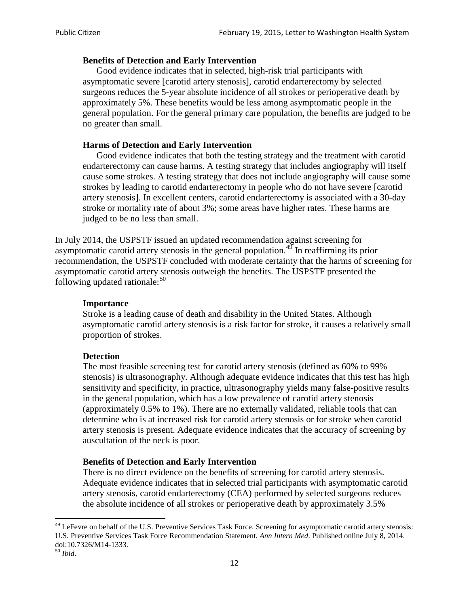#### **Benefits of Detection and Early Intervention**

Good evidence indicates that in selected, high-risk trial participants with asymptomatic severe [carotid artery stenosis], carotid endarterectomy by selected surgeons reduces the 5-year absolute incidence of all strokes or perioperative death by approximately 5%. These benefits would be less among asymptomatic people in the general population. For the general primary care population, the benefits are judged to be no greater than small.

### **Harms of Detection and Early Intervention**

Good evidence indicates that both the testing strategy and the treatment with carotid endarterectomy can cause harms. A testing strategy that includes angiography will itself cause some strokes. A testing strategy that does not include angiography will cause some strokes by leading to carotid endarterectomy in people who do not have severe [carotid artery stenosis]. In excellent centers, carotid endarterectomy is associated with a 30-day stroke or mortality rate of about 3%; some areas have higher rates. These harms are judged to be no less than small.

In July 2014, the USPSTF issued an updated recommendation against screening for asymptomatic carotid artery stenosis in the general population.<sup>[49](#page-11-0)</sup> In reaffirming its prior recommendation, the USPSTF concluded with moderate certainty that the harms of screening for asymptomatic carotid artery stenosis outweigh the benefits. The USPSTF presented the following updated rationale: $50$ 

### **Importance**

Stroke is a leading cause of death and disability in the United States. Although asymptomatic carotid artery stenosis is a risk factor for stroke, it causes a relatively small proportion of strokes.

### **Detection**

The most feasible screening test for carotid artery stenosis (defined as 60% to 99% stenosis) is ultrasonography. Although adequate evidence indicates that this test has high sensitivity and specificity, in practice, ultrasonography yields many false-positive results in the general population, which has a low prevalence of carotid artery stenosis (approximately 0.5% to 1%). There are no externally validated, reliable tools that can determine who is at increased risk for carotid artery stenosis or for stroke when carotid artery stenosis is present. Adequate evidence indicates that the accuracy of screening by auscultation of the neck is poor.

### **Benefits of Detection and Early Intervention**

There is no direct evidence on the benefits of screening for carotid artery stenosis. Adequate evidence indicates that in selected trial participants with asymptomatic carotid artery stenosis, carotid endarterectomy (CEA) performed by selected surgeons reduces the absolute incidence of all strokes or perioperative death by approximately 3.5%

<span id="page-11-0"></span><sup>&</sup>lt;sup>49</sup> LeFevre on behalf of the U.S. Preventive Services Task Force. Screening for asymptomatic carotid artery stenosis: U.S. Preventive Services Task Force Recommendation Statement. *Ann Intern Med*. Published online July 8, 2014. doi:10.7326/M14-1333. <sup>50</sup> *Ibid*.

<span id="page-11-1"></span>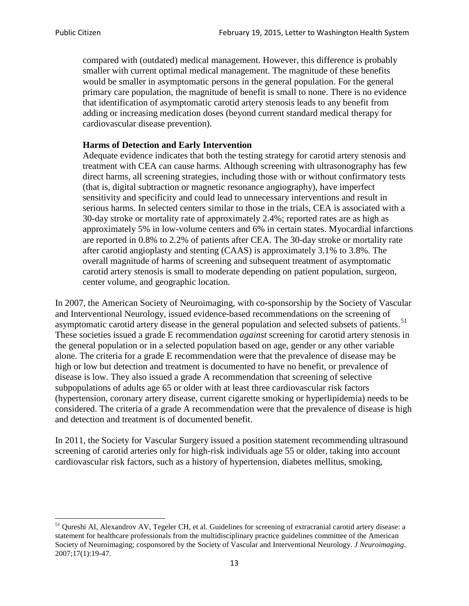compared with (outdated) medical management. However, this difference is probably smaller with current optimal medical management. The magnitude of these benefits would be smaller in asymptomatic persons in the general population. For the general primary care population, the magnitude of benefit is small to none. There is no evidence that identification of asymptomatic carotid artery stenosis leads to any benefit from adding or increasing medication doses (beyond current standard medical therapy for cardiovascular disease prevention).

#### **Harms of Detection and Early Intervention**

Adequate evidence indicates that both the testing strategy for carotid artery stenosis and treatment with CEA can cause harms. Although screening with ultrasonography has few direct harms, all screening strategies, including those with or without confirmatory tests (that is, digital subtraction or magnetic resonance angiography), have imperfect sensitivity and specificity and could lead to unnecessary interventions and result in serious harms. In selected centers similar to those in the trials, CEA is associated with a 30-day stroke or mortality rate of approximately 2.4%; reported rates are as high as approximately 5% in low-volume centers and 6% in certain states. Myocardial infarctions are reported in 0.8% to 2.2% of patients after CEA. The 30-day stroke or mortality rate after carotid angioplasty and stenting (CAAS) is approximately 3.1% to 3.8%. The overall magnitude of harms of screening and subsequent treatment of asymptomatic carotid artery stenosis is small to moderate depending on patient population, surgeon, center volume, and geographic location.

In 2007, the American Society of Neuroimaging, with co-sponsorship by the Society of Vascular and Interventional Neurology, issued evidence-based recommendations on the screening of asymptomatic carotid artery disease in the general population and selected subsets of patients.<sup>[51](#page-12-0)</sup> These societies issued a grade E recommendation *against* screening for carotid artery stenosis in the general population or in a selected population based on age, gender or any other variable alone. The criteria for a grade E recommendation were that the prevalence of disease may be high or low but detection and treatment is documented to have no benefit, or prevalence of disease is low. They also issued a grade A recommendation that screening of selective subpopulations of adults age 65 or older with at least three cardiovascular risk factors (hypertension, coronary artery disease, current cigarette smoking or hyperlipidemia) needs to be considered. The criteria of a grade A recommendation were that the prevalence of disease is high and detection and treatment is of documented benefit.

In 2011, the Society for Vascular Surgery issued a position statement recommending ultrasound screening of carotid arteries only for high-risk individuals age 55 or older, taking into account cardiovascular risk factors, such as a history of hypertension, diabetes mellitus, smoking,

<span id="page-12-0"></span><sup>&</sup>lt;sup>51</sup> Oureshi AI, Alexandrov AV, Tegeler CH, et al. Guidelines for screening of extracranial carotid artery disease: a statement for healthcare professionals from the multidisciplinary practice guidelines committee of the American Society of Neuroimaging; cosponsored by the Society of Vascular and Interventional Neurology. *J Neuroimaging*. 2007;17(1):19-47.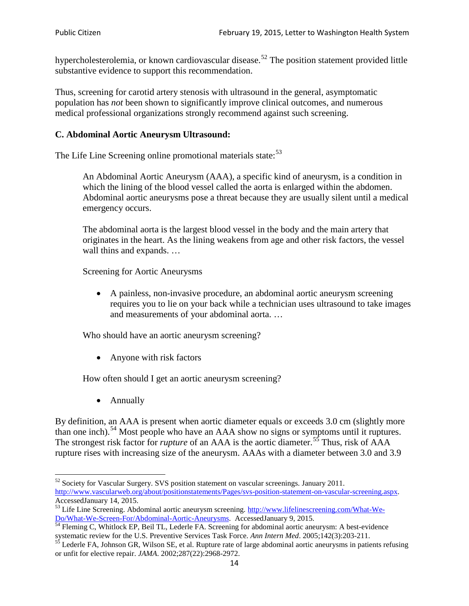hypercholesterolemia, or known cardiovascular disease.<sup>[52](#page-13-0)</sup> The position statement provided little substantive evidence to support this recommendation.

Thus, screening for carotid artery stenosis with ultrasound in the general, asymptomatic population has *not* been shown to significantly improve clinical outcomes, and numerous medical professional organizations strongly recommend against such screening.

# **C. Abdominal Aortic Aneurysm Ultrasound:**

The Life Line Screening online promotional materials state:<sup>[53](#page-13-1)</sup>

An Abdominal Aortic Aneurysm (AAA), a specific kind of aneurysm, is a condition in which the lining of the blood vessel called the aorta is enlarged within the abdomen. Abdominal aortic aneurysms pose a threat because they are usually silent until a medical emergency occurs.

The abdominal aorta is the largest blood vessel in the body and the main artery that originates in the heart. As the lining weakens from age and other risk factors, the vessel wall thins and expands. …

Screening for Aortic Aneurysms

• A painless, non-invasive procedure, an abdominal aortic aneurysm screening requires you to lie on your back while a technician uses ultrasound to take images and measurements of your abdominal aorta. …

Who should have an aortic aneurysm screening?

• Anyone with risk factors

How often should I get an aortic aneurysm screening?

• Annually

By definition, an AAA is present when aortic diameter equals or exceeds 3.0 cm (slightly more than one inch).<sup>[54](#page-13-2)</sup> Most people who have an AAA show no signs or symptoms until it ruptures. The strongest risk factor for *rupture* of an AAA is the aortic diameter.<sup>[55](#page-13-3)</sup> Thus, risk of AAA rupture rises with increasing size of the aneurysm. AAAs with a diameter between 3.0 and 3.9

<span id="page-13-0"></span> $52$  Society for Vascular Surgery. SVS position statement on vascular screenings. January 2011. http://www.vascularweb.org/about/positionstatements/Pages/svs-position-statement-on-vascular-screening.aspx.<br>Accessed January 14, 2015.

<span id="page-13-1"></span>Accessed January 14, 2015.<br>
Sa Life Line Screening. Abdominal aortic aneurysm screening. http://www.lifelinescreening.com/What-We-<br>
Do/What-We-Screen-For/Abdominal-Aortic-Aneurysms. Accessed January 9, 2015.

<span id="page-13-2"></span> $\frac{1}{54}$  Fleming C, Whitlock EP, Beil TL, Lederle FA. Screening for abdominal aortic aneurysm: A best-evidence systematic review for the U.S. Preventive Services Task Force. *Ann Intern Med.* 2005;142(3):203-211.<br><sup>55</sup> Lederle FA, Johnson GR, Wilson SE, et al. Rupture rate of large abdominal aortic aneurysms in patients refusing

<span id="page-13-3"></span>or unfit for elective repair. *JAMA*. 2002;287(22):2968-2972.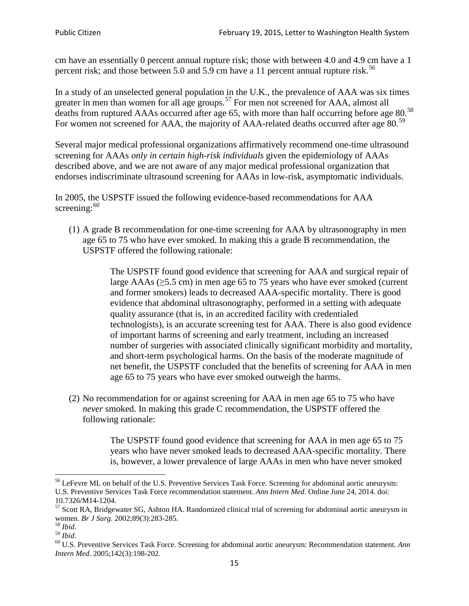cm have an essentially 0 percent annual rupture risk; those with between 4.0 and 4.9 cm have a 1 percent risk; and those between 5.0 and 5.9 cm have a 11 percent annual rupture risk.<sup>[56](#page-14-0)</sup>

In a study of an unselected general population in the U.K., the prevalence of AAA was six times greater in men than women for all age groups.<sup>[57](#page-14-1)</sup> For men not screened for  $AAA$ , almost all deaths from ruptured AAAs occurred after age 65, with more than half occurring before age 80.<sup>[58](#page-14-2)</sup> For women not screened for AAA, the majority of AAA-related deaths occurred after age 80.<sup>[59](#page-14-3)</sup>

Several major medical professional organizations affirmatively recommend one-time ultrasound screening for AAAs *only in certain high-risk individuals* given the epidemiology of AAAs described above, and we are not aware of any major medical professional organization that endorses indiscriminate ultrasound screening for AAAs in low-risk, asymptomatic individuals.

In 2005, the USPSTF issued the following evidence-based recommendations for AAA screening: $60$ 

(1) A grade B recommendation for one-time screening for AAA by ultrasonography in men age 65 to 75 who have ever smoked. In making this a grade [B recommendation,](http://www.uspreventiveservicestaskforce.org/uspstf/gradespre.htm#brec) the USPSTF offered the following rationale:

> The USPSTF found good evidence that screening for AAA and surgical repair of large AAAs ( $\geq$ 5.5 cm) in men age 65 to 75 years who have ever smoked (current and former smokers) leads to decreased AAA-specific mortality. There is good evidence that abdominal ultrasonography, performed in a setting with adequate quality assurance (that is, in an accredited facility with credentialed technologists), is an accurate screening test for AAA. There is also good evidence of important harms of screening and early treatment, including an increased number of surgeries with associated clinically significant morbidity and mortality, and short-term psychological harms. On the basis of the moderate magnitude of net benefit, the USPSTF concluded that the benefits of screening for AAA in men age 65 to 75 years who have ever smoked outweigh the harms.

(2) No recommendation for or against screening for AAA in men age 65 to 75 who have *never* smoked. In making this grade C recommendation, the USPSTF offered the following rationale:

> The USPSTF found good evidence that screening for AAA in men age 65 to 75 years who have never smoked leads to decreased AAA-specific mortality. There is, however, a lower prevalence of large AAAs in men who have never smoked

<span id="page-14-0"></span><sup>&</sup>lt;sup>56</sup> LeFevre ML on behalf of the U.S. Preventive Services Task Force. Screening for abdominal aortic aneurysm: U.S. Preventive Services Task Force recommendation statement. *Ann Intern Med*. Online June 24, 2014. doi:

<span id="page-14-1"></span><sup>10.7326/</sup>M14-1204.<br> $57$  Scott RA, Bridgewater SG, Ashton HA. Randomized clinical trial of screening for abdominal aortic aneurysm in women. *Br J Surg.* 2002;89(3):283-285.

<span id="page-14-4"></span><span id="page-14-3"></span>

<span id="page-14-2"></span><sup>&</sup>lt;sup>58</sup> *Ibid.*<br><sup>59</sup> *Ibid.* 2002;<br><sup>60</sup> U.S. Preventive Services Task Force. Screening for abdominal aortic aneurysm: Recommendation statement. *Ann Intern Med*. 2005;142(3):198-202.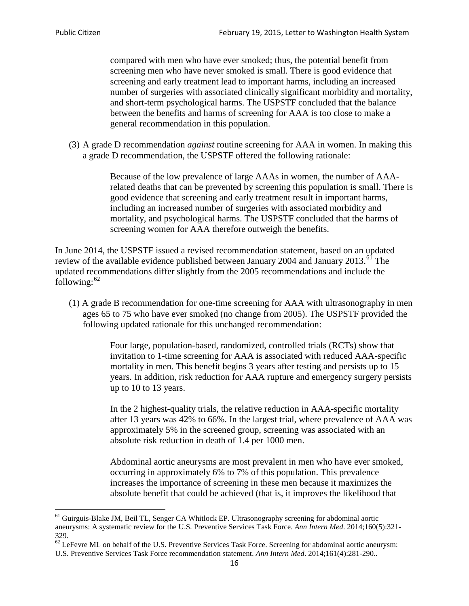compared with men who have ever smoked; thus, the potential benefit from screening men who have never smoked is small. There is good evidence that screening and early treatment lead to important harms, including an increased number of surgeries with associated clinically significant morbidity and mortality, and short-term psychological harms. The USPSTF concluded that the balance between the benefits and harms of screening for AAA is too close to make a general recommendation in this population.

(3) A grade D recommendation *against* routine screening for AAA in women. In making this a grade D recommendation, the USPSTF offered the following rationale:

> Because of the low prevalence of large AAAs in women, the number of AAArelated deaths that can be prevented by screening this population is small. There is good evidence that screening and early treatment result in important harms, including an increased number of surgeries with associated morbidity and mortality, and psychological harms. The USPSTF concluded that the harms of screening women for AAA therefore outweigh the benefits.

In June 2014, the USPSTF issued a revised recommendation statement, based on an updated review of the available evidence published between January 2004 and January 2013.<sup>[61](#page-15-0)</sup> The updated recommendations differ slightly from the 2005 recommendations and include the following: $62$ 

(1) A grade B recommendation for one-time screening for AAA with ultrasonography in men ages 65 to 75 who have ever smoked (no change from 2005). The USPSTF provided the following updated rationale for this unchanged recommendation:

> Four large, population-based, randomized, controlled trials (RCTs) show that invitation to 1-time screening for AAA is associated with reduced AAA-specific mortality in men. This benefit begins 3 years after testing and persists up to 15 years. In addition, risk reduction for AAA rupture and emergency surgery persists up to 10 to 13 years.

> In the 2 highest-quality trials, the relative reduction in AAA-specific mortality after 13 years was 42% to 66%. In the largest trial, where prevalence of AAA was approximately 5% in the screened group, screening was associated with an absolute risk reduction in death of 1.4 per 1000 men.

Abdominal aortic aneurysms are most prevalent in men who have ever smoked, occurring in approximately 6% to 7% of this population. This prevalence increases the importance of screening in these men because it maximizes the absolute benefit that could be achieved (that is, it improves the likelihood that

<span id="page-15-0"></span><sup>61</sup> Guirguis-Blake JM, Beil TL, Senger CA Whitlock EP. Ultrasonography screening for abdominal aortic aneurysms: A systematic review for the U.S. Preventive Services Task Force. *Ann Intern Med*. 2014;160(5):321- 329.

<span id="page-15-1"></span> $62$  LeFevre ML on behalf of the U.S. Preventive Services Task Force. Screening for abdominal aortic aneurysm: U.S. Preventive Services Task Force recommendation statement. *Ann Intern Med*. 2014;161(4):281-290..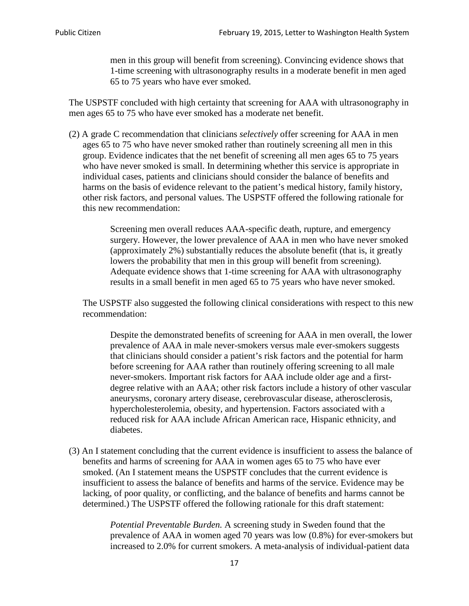men in this group will benefit from screening). Convincing evidence shows that 1-time screening with ultrasonography results in a moderate benefit in men aged 65 to 75 years who have ever smoked.

The USPSTF concluded with high certainty that screening for AAA with ultrasonography in men ages 65 to 75 who have ever smoked has a moderate net benefit.

(2) A grade C recommendation that clinicians *selectively* offer screening for AAA in men ages 65 to 75 who have never smoked rather than routinely screening all men in this group. Evidence indicates that the net benefit of screening all men ages 65 to 75 years who have never smoked is small. In determining whether this service is appropriate in individual cases, patients and clinicians should consider the balance of benefits and harms on the basis of evidence relevant to the patient's medical history, family history, other risk factors, and personal values. The USPSTF offered the following rationale for this new recommendation:

> Screening men overall reduces AAA-specific death, rupture, and emergency surgery. However, the lower prevalence of AAA in men who have never smoked (approximately 2%) substantially reduces the absolute benefit (that is, it greatly lowers the probability that men in this group will benefit from screening). Adequate evidence shows that 1-time screening for AAA with ultrasonography results in a small benefit in men aged 65 to 75 years who have never smoked.

The USPSTF also suggested the following clinical considerations with respect to this new recommendation:

Despite the demonstrated benefits of screening for AAA in men overall, the lower prevalence of AAA in male never-smokers versus male ever-smokers suggests that clinicians should consider a patient's risk factors and the potential for harm before screening for AAA rather than routinely offering screening to all male never-smokers. Important risk factors for AAA include older age and a firstdegree relative with an AAA; other risk factors include a history of other vascular aneurysms, coronary artery disease, cerebrovascular disease, atherosclerosis, hypercholesterolemia, obesity, and hypertension. Factors associated with a reduced risk for AAA include African American race, Hispanic ethnicity, and diabetes.

(3) An I statement concluding that the current evidence is insufficient to assess the balance of benefits and harms of screening for AAA in women ages 65 to 75 who have ever smoked. (An I statement means the USPSTF concludes that the current evidence is insufficient to assess the balance of benefits and harms of the service. Evidence may be lacking, of poor quality, or conflicting, and the balance of benefits and harms cannot be determined.) The USPSTF offered the following rationale for this draft statement:

> *Potential Preventable Burden.* A screening study in Sweden found that the prevalence of AAA in women aged 70 years was low (0.8%) for ever-smokers but increased to 2.0% for current smokers. A meta-analysis of individual-patient data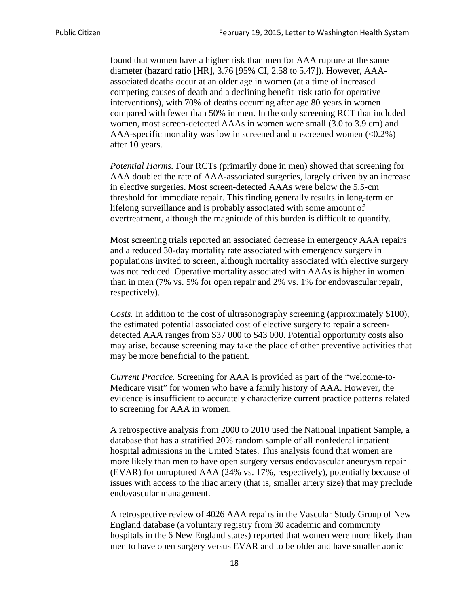found that women have a higher risk than men for AAA rupture at the same diameter (hazard ratio [HR], 3.76 [95% CI, 2.58 to 5.47]). However, AAAassociated deaths occur at an older age in women (at a time of increased competing causes of death and a declining benefit–risk ratio for operative interventions), with 70% of deaths occurring after age 80 years in women compared with fewer than 50% in men. In the only screening RCT that included women, most screen-detected AAAs in women were small (3.0 to 3.9 cm) and AAA-specific mortality was low in screened and unscreened women  $(<0.2\%)$ after 10 years.

*Potential Harms.* Four RCTs (primarily done in men) showed that screening for AAA doubled the rate of AAA-associated surgeries, largely driven by an increase in elective surgeries. Most screen-detected AAAs were below the 5.5-cm threshold for immediate repair. This finding generally results in long-term or lifelong surveillance and is probably associated with some amount of overtreatment, although the magnitude of this burden is difficult to quantify.

Most screening trials reported an associated decrease in emergency AAA repairs and a reduced 30-day mortality rate associated with emergency surgery in populations invited to screen, although mortality associated with elective surgery was not reduced. Operative mortality associated with AAAs is higher in women than in men (7% vs. 5% for open repair and 2% vs. 1% for endovascular repair, respectively).

*Costs.* In addition to the cost of ultrasonography screening (approximately \$100), the estimated potential associated cost of elective surgery to repair a screendetected AAA ranges from \$37 000 to \$43 000. Potential opportunity costs also may arise, because screening may take the place of other preventive activities that may be more beneficial to the patient.

*Current Practice.* Screening for AAA is provided as part of the "welcome-to-Medicare visit" for women who have a family history of AAA. However, the evidence is insufficient to accurately characterize current practice patterns related to screening for AAA in women.

A retrospective analysis from 2000 to 2010 used the National Inpatient Sample, a database that has a stratified 20% random sample of all nonfederal inpatient hospital admissions in the United States. This analysis found that women are more likely than men to have open surgery versus endovascular aneurysm repair (EVAR) for unruptured AAA (24% vs. 17%, respectively), potentially because of issues with access to the iliac artery (that is, smaller artery size) that may preclude endovascular management.

A retrospective review of 4026 AAA repairs in the Vascular Study Group of New England database (a voluntary registry from 30 academic and community hospitals in the 6 New England states) reported that women were more likely than men to have open surgery versus EVAR and to be older and have smaller aortic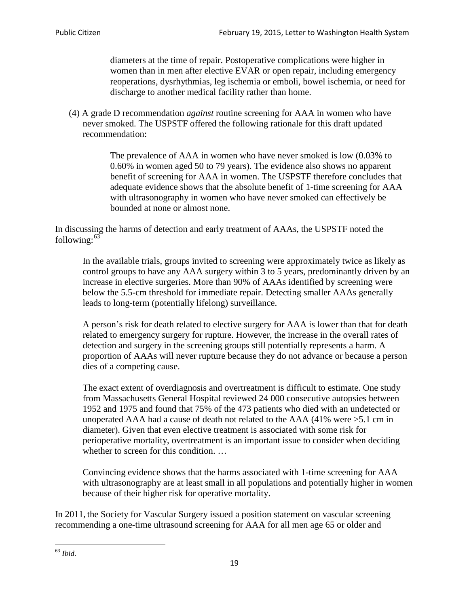diameters at the time of repair. Postoperative complications were higher in women than in men after elective EVAR or open repair, including emergency reoperations, dysrhythmias, leg ischemia or emboli, bowel ischemia, or need for discharge to another medical facility rather than home.

(4) A grade D recommendation *against* routine screening for AAA in women who have never smoked. The USPSTF offered the following rationale for this draft updated recommendation:

> The prevalence of AAA in women who have never smoked is low (0.03% to 0.60% in women aged 50 to 79 years). The evidence also shows no apparent benefit of screening for AAA in women. The USPSTF therefore concludes that adequate evidence shows that the absolute benefit of 1-time screening for AAA with ultrasonography in women who have never smoked can effectively be bounded at none or almost none.

In discussing the harms of detection and early treatment of AAAs, the USPSTF noted the following: $63$ 

In the available trials, groups invited to screening were approximately twice as likely as control groups to have any AAA surgery within 3 to 5 years, predominantly driven by an increase in elective surgeries. More than 90% of AAAs identified by screening were below the 5.5-cm threshold for immediate repair. Detecting smaller AAAs generally leads to long-term (potentially lifelong) surveillance.

A person's risk for death related to elective surgery for AAA is lower than that for death related to emergency surgery for rupture. However, the increase in the overall rates of detection and surgery in the screening groups still potentially represents a harm. A proportion of AAAs will never rupture because they do not advance or because a person dies of a competing cause.

The exact extent of overdiagnosis and overtreatment is difficult to estimate. One study from Massachusetts General Hospital reviewed 24 000 consecutive autopsies between 1952 and 1975 and found that 75% of the 473 patients who died with an undetected or unoperated AAA had a cause of death not related to the AAA (41% were >5.1 cm in diameter). Given that even elective treatment is associated with some risk for perioperative mortality, overtreatment is an important issue to consider when deciding whether to screen for this condition....

Convincing evidence shows that the harms associated with 1-time screening for AAA with ultrasonography are at least small in all populations and potentially higher in women because of their higher risk for operative mortality.

In 2011, the Society for Vascular Surgery issued a position statement on vascular screening recommending a one-time ultrasound screening for AAA for all men age 65 or older and

<span id="page-18-0"></span><sup>63</sup> *Ibid*.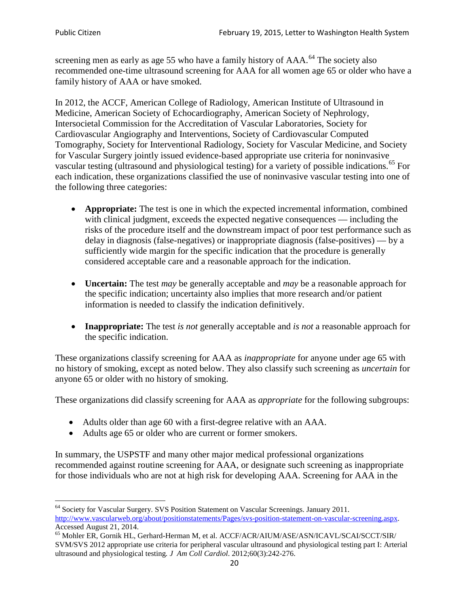screening men as early as age 55 who have a family history of  $AAA$ <sup> $64$ </sup> The society also recommended one-time ultrasound screening for AAA for all women age 65 or older who have a family history of AAA or have smoked.

In 2012, the ACCF, American College of Radiology, American Institute of Ultrasound in Medicine, American Society of Echocardiography, American Society of Nephrology, Intersocietal Commission for the Accreditation of Vascular Laboratories, Society for Cardiovascular Angiography and Interventions, Society of Cardiovascular Computed Tomography, Society for Interventional Radiology, Society for Vascular Medicine, and Society for Vascular Surgery jointly issued evidence-based appropriate use criteria for noninvasive vascular testing (ultrasound and physiological testing) for a variety of possible indications.<sup>[65](#page-19-1)</sup> For each indication, these organizations classified the use of noninvasive vascular testing into one of the following three categories:

- **Appropriate:** The test is one in which the expected incremental information, combined with clinical judgment, exceeds the expected negative consequences — including the risks of the procedure itself and the downstream impact of poor test performance such as delay in diagnosis (false-negatives) or inappropriate diagnosis (false-positives) — by a sufficiently wide margin for the specific indication that the procedure is generally considered acceptable care and a reasonable approach for the indication.
- **Uncertain:** The test *may* be generally acceptable and *may* be a reasonable approach for the specific indication; uncertainty also implies that more research and/or patient information is needed to classify the indication definitively.
- **Inappropriate:** The test *is not* generally acceptable and *is not* a reasonable approach for the specific indication.

These organizations classify screening for AAA as *inappropriate* for anyone under age 65 with no history of smoking, except as noted below. They also classify such screening as *uncertain* for anyone 65 or older with no history of smoking.

These organizations did classify screening for AAA as *appropriate* for the following subgroups:

- Adults older than age 60 with a first-degree relative with an AAA.
- Adults age 65 or older who are current or former smokers.

In summary, the USPSTF and many other major medical professional organizations recommended against routine screening for AAA, or designate such screening as inappropriate for those individuals who are not at high risk for developing AAA. Screening for AAA in the

<span id="page-19-0"></span><sup>&</sup>lt;sup>64</sup> Society for Vascular Surgery. SVS Position Statement on Vascular Screenings. January 2011. [http://www.vascularweb.org/about/positionstatements/Pages/svs-position-statement-on-vascular-screening.aspx.](http://www.vascularweb.org/about/positionstatements/Pages/svs-position-statement-on-vascular-screening.aspx) 

<span id="page-19-1"></span>Accessed August 21, 2014.<br><sup>65</sup> Mohler ER, Gornik HL, Gerhard-Herman M, et al. ACCF/ACR/AIUM/ASE/ASN/ICAVL/SCAI/SCCT/SIR/ SVM/SVS 2012 appropriate use criteria for peripheral vascular ultrasound and physiological testing part I: Arterial ultrasound and physiological testing*. J Am Coll Cardiol*. 2012;60(3):242-276.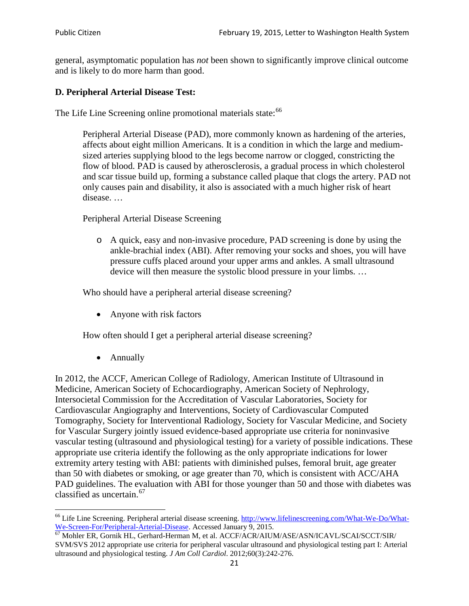general, asymptomatic population has *not* been shown to significantly improve clinical outcome and is likely to do more harm than good.

# **D. Peripheral Arterial Disease Test:**

The Life Line Screening online promotional materials state:<sup>[66](#page-20-0)</sup>

Peripheral Arterial Disease (PAD), more commonly known as hardening of the arteries, affects about eight million Americans. It is a condition in which the large and mediumsized arteries supplying blood to the legs become narrow or clogged, constricting the flow of blood. PAD is caused by atherosclerosis, a gradual process in which cholesterol and scar tissue build up, forming a substance called plaque that clogs the artery. PAD not only causes pain and disability, it also is associated with a much higher risk of heart disease. …

Peripheral Arterial Disease Screening

o A quick, easy and non-invasive procedure, PAD screening is done by using the ankle-brachial index (ABI). After removing your socks and shoes, you will have pressure cuffs placed around your upper arms and ankles. A small ultrasound device will then measure the systolic blood pressure in your limbs. …

Who should have a peripheral arterial disease screening?

• Anyone with risk factors

How often should I get a peripheral arterial disease screening?

• Annually

In 2012, the ACCF, American College of Radiology, American Institute of Ultrasound in Medicine, American Society of Echocardiography, American Society of Nephrology, Intersocietal Commission for the Accreditation of Vascular Laboratories, Society for Cardiovascular Angiography and Interventions, Society of Cardiovascular Computed Tomography, Society for Interventional Radiology, Society for Vascular Medicine, and Society for Vascular Surgery jointly issued evidence-based appropriate use criteria for noninvasive vascular testing (ultrasound and physiological testing) for a variety of possible indications. These appropriate use criteria identify the following as the only appropriate indications for lower extremity artery testing with ABI: patients with diminished pulses, femoral bruit, age greater than 50 with diabetes or smoking, or age greater than 70, which is consistent with ACC/AHA PAD guidelines. The evaluation with ABI for those younger than 50 and those with diabetes was classified as uncertain.<sup>[67](#page-20-1)</sup>

<span id="page-20-0"></span><sup>&</sup>lt;sup>66</sup> Life Line Screening. Peripheral arterial disease screening. [http://www.lifelinescreening.com/What-We-Do/What-](http://www.lifelinescreening.com/What-We-Do/What-We-Screen-For/Peripheral-Arterial-Disease)[We-Screen-For/Peripheral-Arterial-Disease.](http://www.lifelinescreening.com/What-We-Do/What-We-Screen-For/Peripheral-Arterial-Disease) Accessed January 9, 2015.<br><sup>67</sup> Mohler ER, Gornik HL, Gerhard-Herman M, et al. ACCF/ACR/AIUM/ASE/ASN/ICAVL/SCAI/SCCT/SIR/

<span id="page-20-1"></span>SVM/SVS 2012 appropriate use criteria for peripheral vascular ultrasound and physiological testing part I: Arterial ultrasound and physiological testing. *J Am Coll Cardiol*. 2012;60(3):242-276.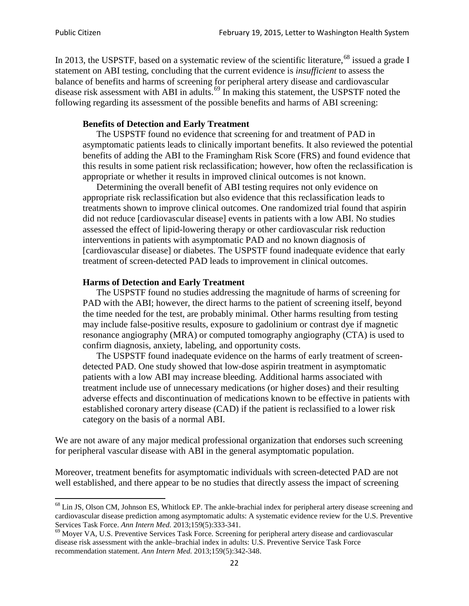In 2013, the USPSTF, based on a systematic review of the scientific literature,<sup>[68](#page-21-0)</sup> issued a grade I statement on ABI testing, concluding that the current evidence is *insufficient* to assess the balance of benefits and harms of screening for peripheral artery disease and cardiovascular disease risk assessment with ABI in adults.<sup>[69](#page-21-1)</sup> In making this statement, the USPSTF noted the following regarding its assessment of the possible benefits and harms of ABI screening:

#### **Benefits of Detection and Early Treatment**

The USPSTF found no evidence that screening for and treatment of PAD in asymptomatic patients leads to clinically important benefits. It also reviewed the potential benefits of adding the ABI to the Framingham Risk Score (FRS) and found evidence that this results in some patient risk reclassification; however, how often the reclassification is appropriate or whether it results in improved clinical outcomes is not known.

Determining the overall benefit of ABI testing requires not only evidence on appropriate risk reclassification but also evidence that this reclassification leads to treatments shown to improve clinical outcomes. One randomized trial found that aspirin did not reduce [cardiovascular disease] events in patients with a low ABI. No studies assessed the effect of lipid-lowering therapy or other cardiovascular risk reduction interventions in patients with asymptomatic PAD and no known diagnosis of [cardiovascular disease] or diabetes. The USPSTF found inadequate evidence that early treatment of screen-detected PAD leads to improvement in clinical outcomes.

#### **Harms of Detection and Early Treatment**

The USPSTF found no studies addressing the magnitude of harms of screening for PAD with the ABI; however, the direct harms to the patient of screening itself, beyond the time needed for the test, are probably minimal. Other harms resulting from testing may include false-positive results, exposure to gadolinium or contrast dye if magnetic resonance angiography (MRA) or computed tomography angiography (CTA) is used to confirm diagnosis, anxiety, labeling, and opportunity costs.

The USPSTF found inadequate evidence on the harms of early treatment of screendetected PAD. One study showed that low-dose aspirin treatment in asymptomatic patients with a low ABI may increase bleeding. Additional harms associated with treatment include use of unnecessary medications (or higher doses) and their resulting adverse effects and discontinuation of medications known to be effective in patients with established coronary artery disease (CAD) if the patient is reclassified to a lower risk category on the basis of a normal ABI.

We are not aware of any major medical professional organization that endorses such screening for peripheral vascular disease with ABI in the general asymptomatic population.

Moreover, treatment benefits for asymptomatic individuals with screen-detected PAD are not well established, and there appear to be no studies that directly assess the impact of screening

<span id="page-21-0"></span><sup>&</sup>lt;sup>68</sup> Lin JS, Olson CM, Johnson ES, Whitlock EP. The ankle-brachial index for peripheral artery disease screening and cardiovascular disease prediction among asymptomatic adults: A systematic evidence review for the U.S. Preventive Services Task Force. *Ann Intern Med.* 2013;159(5):333-341.<br><sup>69</sup> Moyer VA, U.S. Preventive Services Task Force. Screening for peripheral artery disease and cardiovascular

<span id="page-21-1"></span>disease risk assessment with the ankle–brachial index in adults: U.S. Preventive Service Task Force recommendation statement. *Ann Intern Med.* 2013;159(5):342-348.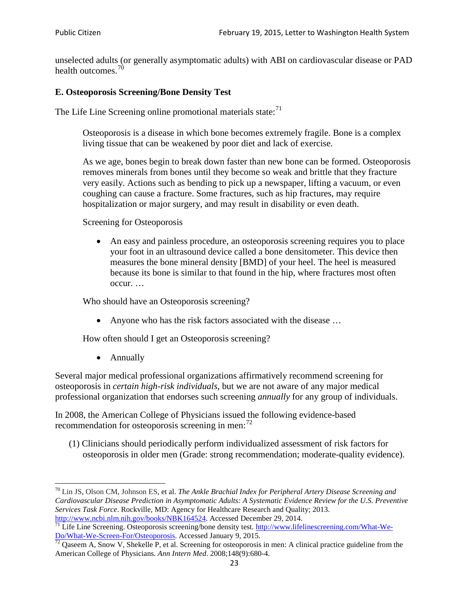unselected adults (or generally asymptomatic adults) with ABI on cardiovascular disease or PAD health outcomes.<sup>[70](#page-22-0)</sup>

## **E. Osteoporosis Screening/Bone Density Test**

The Life Line Screening online promotional materials state: $71$ 

Osteoporosis is a disease in which bone becomes extremely fragile. Bone is a complex living tissue that can be weakened by poor diet and lack of exercise.

As we age, bones begin to break down faster than new bone can be formed. Osteoporosis removes minerals from bones until they become so weak and brittle that they fracture very easily. Actions such as bending to pick up a newspaper, lifting a vacuum, or even coughing can cause a fracture. Some fractures, such as hip fractures, may require hospitalization or major surgery, and may result in disability or even death.

Screening for Osteoporosis

• An easy and painless procedure, an osteoporosis screening requires you to place your foot in an ultrasound device called a bone densitometer. This device then measures the bone mineral density [BMD] of your heel. The heel is measured because its bone is similar to that found in the hip, where fractures most often occur. …

Who should have an Osteoporosis screening?

• Anyone who has the risk factors associated with the disease ...

How often should I get an Osteoporosis screening?

• Annually

Several major medical professional organizations affirmatively recommend screening for osteoporosis in *certain high-risk individuals*, but we are not aware of any major medical professional organization that endorses such screening *annually* for any group of individuals.

In 2008, the American College of Physicians issued the following evidence-based recommendation for osteoporosis screening in men: $^{72}$  $^{72}$  $^{72}$ 

(1) Clinicians should periodically perform individualized assessment of risk factors for osteoporosis in older men (Grade: strong recommendation; moderate-quality evidence).

<span id="page-22-0"></span><sup>70</sup> [Lin JS,](http://www.ncbi.nlm.nih.gov/pubmed?term=Lin%20JS%5BAuthor%5D&cauthor=true&cauthor_uid=24156115) [Olson CM,](http://www.ncbi.nlm.nih.gov/pubmed?term=Olson%20CM%5BAuthor%5D&cauthor=true&cauthor_uid=24156115) [Johnson ES,](http://www.ncbi.nlm.nih.gov/pubmed?term=Johnson%20ES%5BAuthor%5D&cauthor=true&cauthor_uid=24156115) et al. *The Ankle Brachial Index for Peripheral Artery Disease Screening and Cardiovascular Disease Prediction in Asymptomatic Adults: A Systematic Evidence Review for the U.S. Preventive Services Task Force*. Rockville, MD: Agency for Healthcare Research and Quality; 2013.<br>http://www.ncbi.nlm.nih.gov/books/NBK164524. Accessed December 29, 2014.

<span id="page-22-1"></span> $\frac{1}{71}$  Life Line Screening. Osteoporosis screening/bone density test. [http://www.lifelinescreening.com/What-We-](http://www.lifelinescreening.com/What-We-Do/What-We-Screen-For/Osteoporosis) $\frac{Do/What-We-Screen-For/Osteoporosis}{72}$  Qaseem A, Snow V, Shekelle P, et al. Screening for osteoporosis in men: A clinical practice guideline from the

<span id="page-22-2"></span>American College of Physicians. *Ann Intern Med*. 2008;148(9):680-4.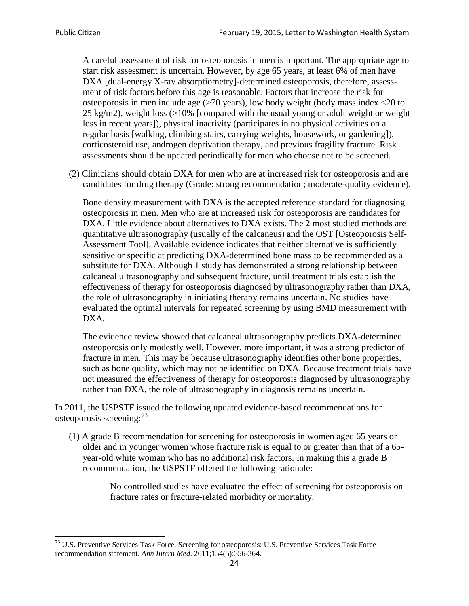A careful assessment of risk for osteoporosis in men is important. The appropriate age to start risk assessment is uncertain. However, by age 65 years, at least 6% of men have DXA [dual-energy X-ray absorptiometry]-determined osteoporosis, therefore, assessment of risk factors before this age is reasonable. Factors that increase the risk for osteoporosis in men include age (>70 years), low body weight (body mass index <20 to 25 kg/m2), weight loss (>10% [compared with the usual young or adult weight or weight loss in recent years]), physical inactivity (participates in no physical activities on a regular basis [walking, climbing stairs, carrying weights, housework, or gardening]), corticosteroid use, androgen deprivation therapy, and previous fragility fracture. Risk assessments should be updated periodically for men who choose not to be screened.

(2) Clinicians should obtain DXA for men who are at increased risk for osteoporosis and are candidates for drug therapy (Grade: strong recommendation; moderate-quality evidence).

Bone density measurement with DXA is the accepted reference standard for diagnosing osteoporosis in men. Men who are at increased risk for osteoporosis are candidates for DXA. Little evidence about alternatives to DXA exists. The 2 most studied methods are quantitative ultrasonography (usually of the calcaneus) and the OST [Osteoporosis Self-Assessment Tool]. Available evidence indicates that neither alternative is sufficiently sensitive or specific at predicting DXA-determined bone mass to be recommended as a substitute for DXA. Although 1 study has demonstrated a strong relationship between calcaneal ultrasonography and subsequent fracture, until treatment trials establish the effectiveness of therapy for osteoporosis diagnosed by ultrasonography rather than DXA, the role of ultrasonography in initiating therapy remains uncertain. No studies have evaluated the optimal intervals for repeated screening by using BMD measurement with DXA.

The evidence review showed that calcaneal ultrasonography predicts DXA-determined osteoporosis only modestly well. However, more important, it was a strong predictor of fracture in men. This may be because ultrasonography identifies other bone properties, such as bone quality, which may not be identified on DXA. Because treatment trials have not measured the effectiveness of therapy for osteoporosis diagnosed by ultrasonography rather than DXA, the role of ultrasonography in diagnosis remains uncertain.

In 2011, the USPSTF issued the following updated evidence-based recommendations for osteoporosis screening:<sup>[73](#page-23-0)</sup>

(1) A grade B recommendation for screening for osteoporosis in women aged 65 years or older and in younger women whose fracture risk is equal to or greater than that of a 65 year-old white woman who has no additional risk factors. In making this a grade B recommendation, the USPSTF offered the following rationale:

> No controlled studies have evaluated the effect of screening for osteoporosis on fracture rates or fracture-related morbidity or mortality.

<span id="page-23-0"></span><sup>&</sup>lt;sup>73</sup> U.S. Preventive Services Task Force. Screening for osteoporosis: U.S. Preventive Services Task Force recommendation statement. *Ann Intern Med*. 2011;154(5):356-364.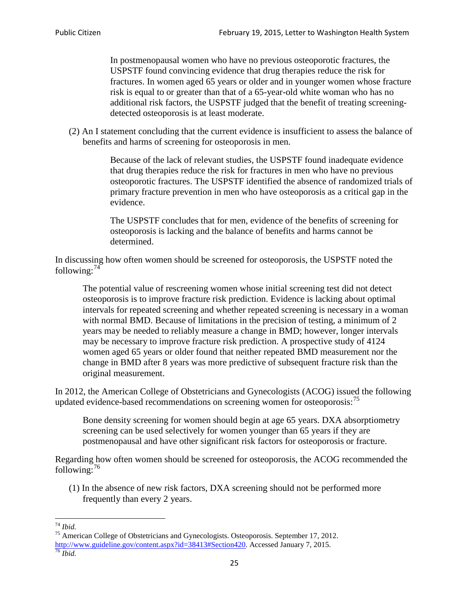In postmenopausal women who have no previous osteoporotic fractures, the USPSTF found convincing evidence that drug therapies reduce the risk for fractures. In women aged 65 years or older and in younger women whose fracture risk is equal to or greater than that of a 65-year-old white woman who has no additional risk factors, the USPSTF judged that the benefit of treating screeningdetected osteoporosis is at least moderate.

(2) An I statement concluding that the current evidence is insufficient to assess the balance of benefits and harms of screening for osteoporosis in men.

> Because of the lack of relevant studies, the USPSTF found inadequate evidence that drug therapies reduce the risk for fractures in men who have no previous osteoporotic fractures. The USPSTF identified the absence of randomized trials of primary fracture prevention in men who have osteoporosis as a critical gap in the evidence.

The USPSTF concludes that for men, evidence of the benefits of screening for osteoporosis is lacking and the balance of benefits and harms cannot be determined.

In discussing how often women should be screened for osteoporosis, the USPSTF noted the following: $74$ 

The potential value of rescreening women whose initial screening test did not detect osteoporosis is to improve fracture risk prediction. Evidence is lacking about optimal intervals for repeated screening and whether repeated screening is necessary in a woman with normal BMD. Because of limitations in the precision of testing, a minimum of 2 years may be needed to reliably measure a change in BMD; however, longer intervals may be necessary to improve fracture risk prediction. A prospective study of 4124 women aged 65 years or older found that neither repeated BMD measurement nor the change in BMD after 8 years was more predictive of subsequent fracture risk than the original measurement.

In 2012, the American College of Obstetricians and Gynecologists (ACOG) issued the following updated evidence-based recommendations on screening women for osteoporosis:<sup>[75](#page-24-1)</sup>

Bone density screening for women should begin at age 65 years. DXA absorptiometry screening can be used selectively for women younger than 65 years if they are postmenopausal and have other significant risk factors for osteoporosis or fracture.

Regarding how often women should be screened for osteoporosis, the ACOG recommended the following: $^{76}$  $^{76}$  $^{76}$ 

(1) In the absence of new risk factors, DXA screening should not be performed more frequently than every 2 years.

<span id="page-24-2"></span><span id="page-24-1"></span><span id="page-24-0"></span><sup>74</sup> *Ibid.* <sup>75</sup> American College of Obstetricians and Gynecologists. Osteoporosis. September 17, 2012. [http://www.guideline.gov/content.aspx?id=38413#Section420.](http://www.guideline.gov/content.aspx?id=38413#Section420) Accessed January 7, 2015.<br><sup>76</sup> *Ibid.*